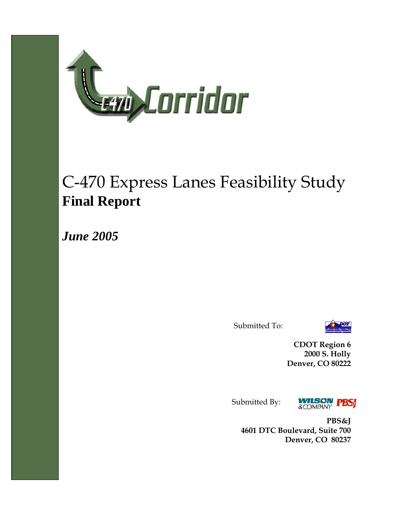

# C-470 Express Lanes Feasibility Study **Final Report**

*June 2005* 

Submitted To:



**CDOT Region 6 2000 S. Holly Denver, CO 80222** 

Submitted By:



**PBS&J 4601 DTC Boulevard, Suite 700 Denver, CO 80237**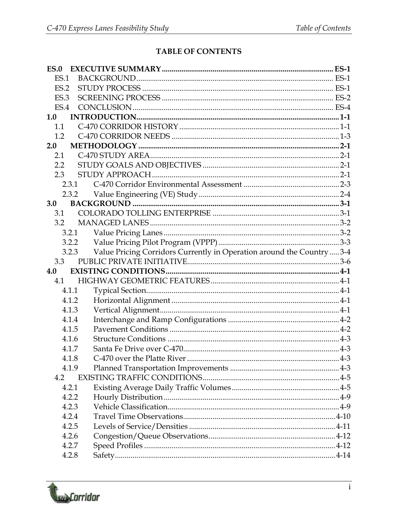### TABLE OF CONTENTS

| ES.0  |                                                                                 |  |
|-------|---------------------------------------------------------------------------------|--|
| ES.1  |                                                                                 |  |
| ES.2  |                                                                                 |  |
| ES.3  |                                                                                 |  |
| ES.4  |                                                                                 |  |
| 1.0   |                                                                                 |  |
| 1.1   |                                                                                 |  |
| 1.2   |                                                                                 |  |
| 2.0   |                                                                                 |  |
| 2.1   |                                                                                 |  |
| 2.2   |                                                                                 |  |
| 2.3   |                                                                                 |  |
| 2.3.1 |                                                                                 |  |
|       |                                                                                 |  |
| 3.0   |                                                                                 |  |
| 3.1   |                                                                                 |  |
| 3.2   |                                                                                 |  |
|       | 3.2.1                                                                           |  |
|       | 3.2.2                                                                           |  |
|       | Value Pricing Corridors Currently in Operation around the Country  3-4<br>3.2.3 |  |
| 3.3   |                                                                                 |  |
| 4.0   |                                                                                 |  |
| 4.1   |                                                                                 |  |
| 4.1.1 |                                                                                 |  |
| 4.1.2 |                                                                                 |  |
| 4.1.3 |                                                                                 |  |
| 4.1.4 |                                                                                 |  |
| 4.1.5 |                                                                                 |  |
| 4.1.6 |                                                                                 |  |
| 4.1.7 |                                                                                 |  |
| 4.1.8 |                                                                                 |  |
| 4.1.9 |                                                                                 |  |
| 4.2   |                                                                                 |  |
| 4.2.1 |                                                                                 |  |
| 4.2.2 |                                                                                 |  |
| 4.2.3 |                                                                                 |  |
| 4.2.4 |                                                                                 |  |
| 4.2.5 |                                                                                 |  |
| 4.2.6 |                                                                                 |  |
| 4.2.7 |                                                                                 |  |
| 4.2.8 |                                                                                 |  |

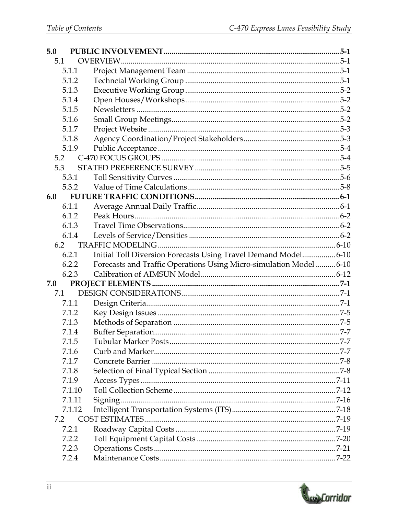| 5.0 |        |                                                                     |  |
|-----|--------|---------------------------------------------------------------------|--|
| 5.1 |        |                                                                     |  |
|     | 5.1.1  |                                                                     |  |
|     | 5.1.2  |                                                                     |  |
|     | 5.1.3  |                                                                     |  |
|     | 5.1.4  |                                                                     |  |
|     | 5.1.5  |                                                                     |  |
|     | 5.1.6  |                                                                     |  |
|     | 5.1.7  |                                                                     |  |
|     | 5.1.8  |                                                                     |  |
|     | 5.1.9  |                                                                     |  |
| 5.2 |        |                                                                     |  |
|     | 5.3    |                                                                     |  |
|     | 5.3.1  |                                                                     |  |
|     | 5.3.2  |                                                                     |  |
| 6.0 |        |                                                                     |  |
|     | 6.1.1  |                                                                     |  |
|     | 6.1.2  |                                                                     |  |
|     | 6.1.3  |                                                                     |  |
|     | 6.1.4  |                                                                     |  |
|     | 6.2    |                                                                     |  |
|     | 6.2.1  | Initial Toll Diversion Forecasts Using Travel Demand Model 6-10     |  |
|     | 6.2.2  | Forecasts and Traffic Operations Using Micro-simulation Model  6-10 |  |
|     | 6.2.3  |                                                                     |  |
| 7.0 |        |                                                                     |  |
|     | 7.1    |                                                                     |  |
|     | 7.1.1  |                                                                     |  |
|     | 7.1.2  |                                                                     |  |
|     | 7.1.3  |                                                                     |  |
|     | 7.1.4  |                                                                     |  |
|     | 7.1.5  |                                                                     |  |
|     | 7.1.6  |                                                                     |  |
|     | 7.1.7  |                                                                     |  |
|     | 7.1.8  |                                                                     |  |
|     | 7.1.9  |                                                                     |  |
|     | 7.1.10 |                                                                     |  |
|     | 7.1.11 |                                                                     |  |
|     | 7.1.12 |                                                                     |  |
| 7.2 |        |                                                                     |  |
|     | 7.2.1  |                                                                     |  |
|     | 7.2.2  |                                                                     |  |
|     | 7.2.3  |                                                                     |  |
|     | 7.2.4  |                                                                     |  |

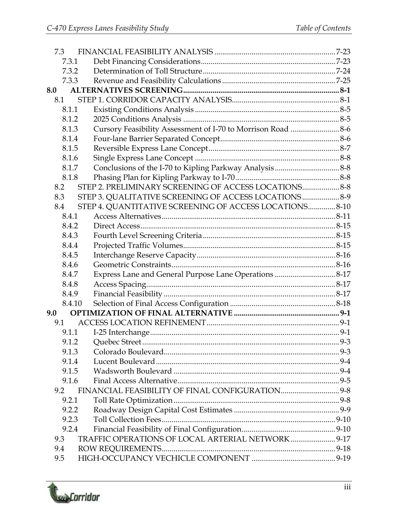| 7.3    |                                                         |  |
|--------|---------------------------------------------------------|--|
| 7.3.1  |                                                         |  |
| 7.3.2  |                                                         |  |
| 7.3.3  |                                                         |  |
| 8.0    |                                                         |  |
| 8.1    |                                                         |  |
| 8.1.1  |                                                         |  |
| 8.1.2  |                                                         |  |
| 8.1.3  |                                                         |  |
| 8.1.4  |                                                         |  |
| 8.1.5  |                                                         |  |
| 8.1.6  |                                                         |  |
| 8.1.7  |                                                         |  |
| 8.1.8  |                                                         |  |
| 8.2    | STEP 2. PRELIMINARY SCREENING OF ACCESS LOCATIONS 8-8   |  |
| 8.3    | STEP 3. QUALITATIVE SCREENING OF ACCESS LOCATIONS 8-9   |  |
| 8.4    | STEP 4. QUANTITATIVE SCREENING OF ACCESS LOCATIONS 8-10 |  |
| 8.4.1  |                                                         |  |
| 8.4.2  |                                                         |  |
| 8.4.3  |                                                         |  |
| 8.4.4  |                                                         |  |
| 8.4.5  |                                                         |  |
| 8.4.6  |                                                         |  |
| 8.4.7  |                                                         |  |
| 8.4.8  |                                                         |  |
| 8.4.9  |                                                         |  |
| 8.4.10 |                                                         |  |
| 9.0    |                                                         |  |
| 9.1    |                                                         |  |
| 9.1.1  |                                                         |  |
| 9.1.2  |                                                         |  |
| 9.1.3  |                                                         |  |
| 9.1.4  |                                                         |  |
| 9.1.5  |                                                         |  |
| 9.1.6  |                                                         |  |
| 9.2    |                                                         |  |
| 9.2.1  |                                                         |  |
| 9.2.2  |                                                         |  |
| 9.2.3  |                                                         |  |
| 9.2.4  |                                                         |  |
| 9.3    | TRAFFIC OPERATIONS OF LOCAL ARTERIAL NETWORK 9-17       |  |
| 9.4    |                                                         |  |
| 9.5    |                                                         |  |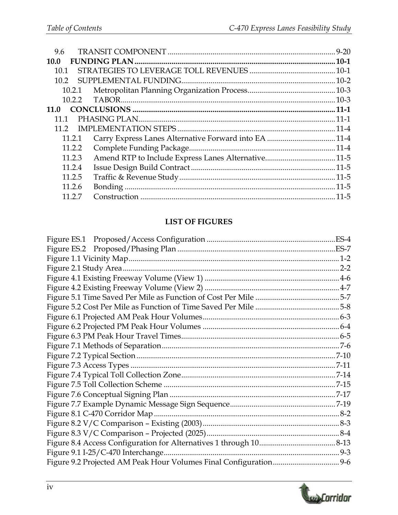| 9.6            |  |
|----------------|--|
| 10.0           |  |
| 10.1           |  |
| 10.2           |  |
| 10.2.1         |  |
| 10.2.2         |  |
| 11.0           |  |
| 11 1           |  |
| 11 $2^{\circ}$ |  |
| 11.2.1         |  |
| 11.2.2         |  |
| 11.2.3         |  |
| 11.2.4         |  |
| 11.2.5         |  |
| 11.2.6         |  |
| 11 2 7         |  |
|                |  |

#### **LIST OF FIGURES**

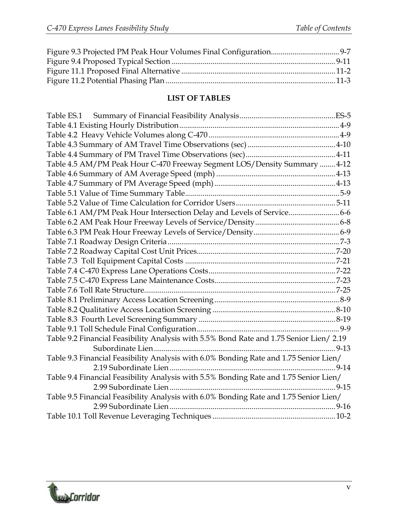## **LIST OF TABLES**

| Table 4.5 AM/PM Peak Hour C-470 Freeway Segment LOS/Density Summary  4-12               |  |
|-----------------------------------------------------------------------------------------|--|
|                                                                                         |  |
|                                                                                         |  |
|                                                                                         |  |
|                                                                                         |  |
| Table 6.1 AM/PM Peak Hour Intersection Delay and Levels of Service 6-6                  |  |
|                                                                                         |  |
|                                                                                         |  |
|                                                                                         |  |
|                                                                                         |  |
|                                                                                         |  |
|                                                                                         |  |
|                                                                                         |  |
|                                                                                         |  |
|                                                                                         |  |
|                                                                                         |  |
|                                                                                         |  |
|                                                                                         |  |
| Table 9.2 Financial Feasibility Analysis with 5.5% Bond Rate and 1.75 Senior Lien/ 2.19 |  |
|                                                                                         |  |
| Table 9.3 Financial Feasibility Analysis with 6.0% Bonding Rate and 1.75 Senior Lien/   |  |
|                                                                                         |  |
| Table 9.4 Financial Feasibility Analysis with 5.5% Bonding Rate and 1.75 Senior Lien/   |  |
|                                                                                         |  |
| Table 9.5 Financial Feasibility Analysis with 6.0% Bonding Rate and 1.75 Senior Lien/   |  |
|                                                                                         |  |
|                                                                                         |  |

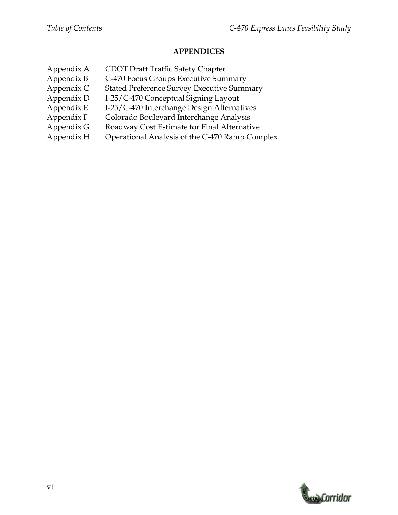#### **APPENDICES**

Appendix A CDOT Draft Traffic Safety Chapter Appendix B C-470 Focus Groups Executive Summary Appendix C Stated Preference Survey Executive Summary Appendix D I-25/C-470 Conceptual Signing Layout Appendix E I-25/C-470 Interchange Design Alternatives Appendix F Colorado Boulevard Interchange Analysis Appendix G Roadway Cost Estimate for Final Alternative Appendix H Operational Analysis of the C-470 Ramp Complex

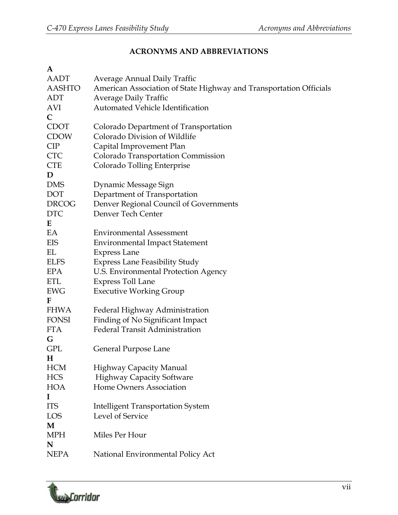## **ACRONYMS AND ABBREVIATIONS**

| A             |                                                                    |
|---------------|--------------------------------------------------------------------|
| AADT          | Average Annual Daily Traffic                                       |
| <b>AASHTO</b> | American Association of State Highway and Transportation Officials |
| <b>ADT</b>    | <b>Average Daily Traffic</b>                                       |
| AVI           | <b>Automated Vehicle Identification</b>                            |
| $\mathsf{C}$  |                                                                    |
| <b>CDOT</b>   | Colorado Department of Transportation                              |
| <b>CDOW</b>   | Colorado Division of Wildlife                                      |
| CIP           | Capital Improvement Plan                                           |
| <b>CTC</b>    | Colorado Transportation Commission                                 |
| <b>CTE</b>    | Colorado Tolling Enterprise                                        |
| D             |                                                                    |
| <b>DMS</b>    | Dynamic Message Sign                                               |
| DOT           | Department of Transportation                                       |
| <b>DRCOG</b>  | Denver Regional Council of Governments                             |
| <b>DTC</b>    | Denver Tech Center                                                 |
| E             |                                                                    |
| EA            | <b>Environmental Assessment</b>                                    |
| EIS           | <b>Environmental Impact Statement</b>                              |
| EL            | <b>Express Lane</b>                                                |
| <b>ELFS</b>   | <b>Express Lane Feasibility Study</b>                              |
| <b>EPA</b>    | U.S. Environmental Protection Agency                               |
| <b>ETL</b>    | <b>Express Toll Lane</b>                                           |
| <b>EWG</b>    | <b>Executive Working Group</b>                                     |
| F             |                                                                    |
| <b>FHWA</b>   | Federal Highway Administration                                     |
| <b>FONSI</b>  | Finding of No Significant Impact                                   |
| <b>FTA</b>    | <b>Federal Transit Administration</b>                              |
| G             |                                                                    |
| <b>GPL</b>    | General Purpose Lane                                               |
| Н             |                                                                    |
| <b>HCM</b>    | <b>Highway Capacity Manual</b>                                     |
| <b>HCS</b>    | <b>Highway Capacity Software</b>                                   |
| <b>HOA</b>    | Home Owners Association                                            |
| 1             |                                                                    |
| <b>ITS</b>    | <b>Intelligent Transportation System</b>                           |
| LOS           | Level of Service                                                   |
| M             |                                                                    |
| <b>MPH</b>    | Miles Per Hour                                                     |
| N             |                                                                    |
| <b>NEPA</b>   | National Environmental Policy Act                                  |